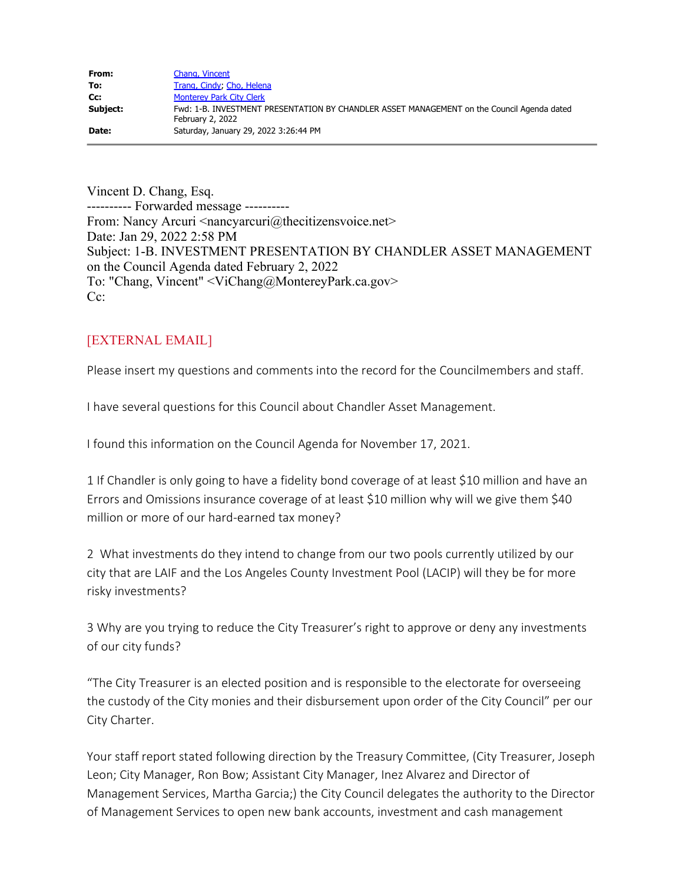| From:    | Chang, Vincent                                                                                                 |
|----------|----------------------------------------------------------------------------------------------------------------|
| To:      | Trang, Cindy; Cho, Helena                                                                                      |
| Cc:      | <b>Monterey Park City Clerk</b>                                                                                |
| Subject: | Fwd: 1-B. INVESTMENT PRESENTATION BY CHANDLER ASSET MANAGEMENT on the Council Agenda dated<br>February 2, 2022 |
| Date:    | Saturday, January 29, 2022 3:26:44 PM                                                                          |

Vincent D. Chang, Esq. ---------- Forwarded message ---------- From: Nancy Arcuri <nancyarcuri@thecitizensvoice.net> Date: Jan 29, 2022 2:58 PM Subject: 1-B. INVESTMENT PRESENTATION BY CHANDLER ASSET MANAGEMENT on the Council Agenda dated February 2, 2022 To: "Chang, Vincent" <ViChang@MontereyPark.ca.gov> Cc:

## [EXTERNAL EMAIL]

Please insert my questions and comments into the record for the Councilmembers and staff.

I have several questions for this Council about Chandler Asset Management.

I found this information on the Council Agenda for November 17, 2021.

1 If Chandler is only going to have a fidelity bond coverage of at least \$10 million and have an Errors and Omissions insurance coverage of at least \$10 million why will we give them \$40 million or more of our hard-earned tax money?

2 What investments do they intend to change from our two pools currently utilized by our city that are LAIF and the Los Angeles County Investment Pool (LACIP) will they be for more risky investments?

3 Why are you trying to reduce the City Treasurer's right to approve or deny any investments of our city funds?

"The City Treasurer is an elected position and is responsible to the electorate for overseeing the custody of the City monies and their disbursement upon order of the City Council" per our City Charter.

Your staff report stated following direction by the Treasury Committee, (City Treasurer, Joseph Leon; City Manager, Ron Bow; Assistant City Manager, Inez Alvarez and Director of Management Services, Martha Garcia;) the City Council delegates the authority to the Director of Management Services to open new bank accounts, investment and cash management